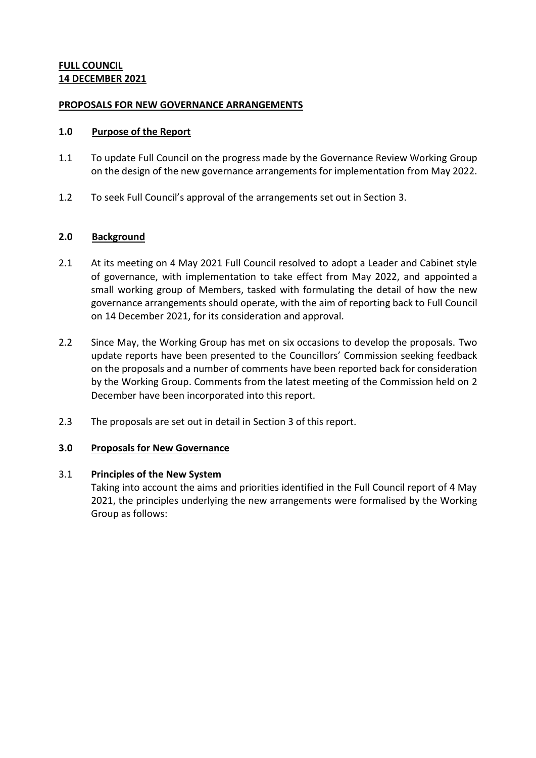# **FULL COUNCIL 14 DECEMBER 2021**

## **PROPOSALS FOR NEW GOVERNANCE ARRANGEMENTS**

## **1.0 Purpose of the Report**

- 1.1 To update Full Council on the progress made by the Governance Review Working Group on the design of the new governance arrangements for implementation from May 2022.
- 1.2 To seek Full Council's approval of the arrangements set out in Section 3.

# **2.0 Background**

- 2.1 At its meeting on 4 May 2021 Full Council resolved to adopt a Leader and Cabinet style of governance, with implementation to take effect from May 2022, and appointed a small working group of Members, tasked with formulating the detail of how the new governance arrangements should operate, with the aim of reporting back to Full Council on 14 December 2021, for its consideration and approval.
- 2.2 Since May, the Working Group has met on six occasions to develop the proposals. Two update reports have been presented to the Councillors' Commission seeking feedback on the proposals and a number of comments have been reported back for consideration by the Working Group. Comments from the latest meeting of the Commission held on 2 December have been incorporated into this report.
- 2.3 The proposals are set out in detail in Section 3 of this report.

# **3.0 Proposals for New Governance**

#### 3.1 **Principles of the New System**

Taking into account the aims and priorities identified in the Full Council report of 4 May 2021, the principles underlying the new arrangements were formalised by the Working Group as follows: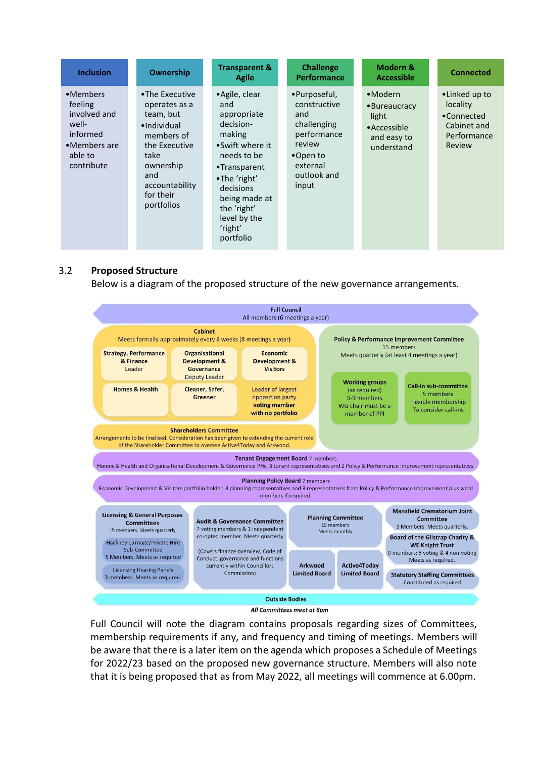| <b>Inclusion</b>                                                                                  | Ownership                                                                                                                                                           | <b>Transparent &amp;</b><br>Agile                                                                                                                                                                                  | <b>Challenge</b><br><b>Performance</b>                                                                                      | Modern &<br><b>Accessible</b>                                                            | <b>Connected</b>                                                                |
|---------------------------------------------------------------------------------------------------|---------------------------------------------------------------------------------------------------------------------------------------------------------------------|--------------------------------------------------------------------------------------------------------------------------------------------------------------------------------------------------------------------|-----------------------------------------------------------------------------------------------------------------------------|------------------------------------------------------------------------------------------|---------------------------------------------------------------------------------|
| •Members<br>feeling<br>involved and<br>well-<br>informed<br>•Members are<br>able to<br>contribute | •The Executive<br>operates as a<br>team, but<br>•Individual<br>members of<br>the Executive<br>take<br>ownership<br>and<br>accountability<br>for their<br>portfolios | • Agile, clear<br>and<br>appropriate<br>decision-<br>making<br>•Swift where it<br>needs to be<br>•Transparent<br>•The 'right'<br>decisions<br>being made at<br>the 'right'<br>level by the<br>'right'<br>portfolio | •Purposeful,<br>constructive<br>and<br>challenging<br>performance<br>review<br>•Open to<br>external<br>outlook and<br>input | $•$ Modern<br>•Bureaucracy<br>light<br>$\bullet$ Accessible<br>and easy to<br>understand | •Linked up to<br>locality<br>•Connected<br>Cabinet and<br>Performance<br>Review |

#### 3.2 **Proposed Structure**

Below is a diagram of the proposed structure of the new governance arrangements.



Full Council will note the diagram contains proposals regarding sizes of Committees, membership requirements if any, and frequency and timing of meetings. Members will be aware that there is a later item on the agenda which proposes a Schedule of Meetings for 2022/23 based on the proposed new governance structure. Members will also note that it is being proposed that as from May 2022, all meetings will commence at 6.00pm.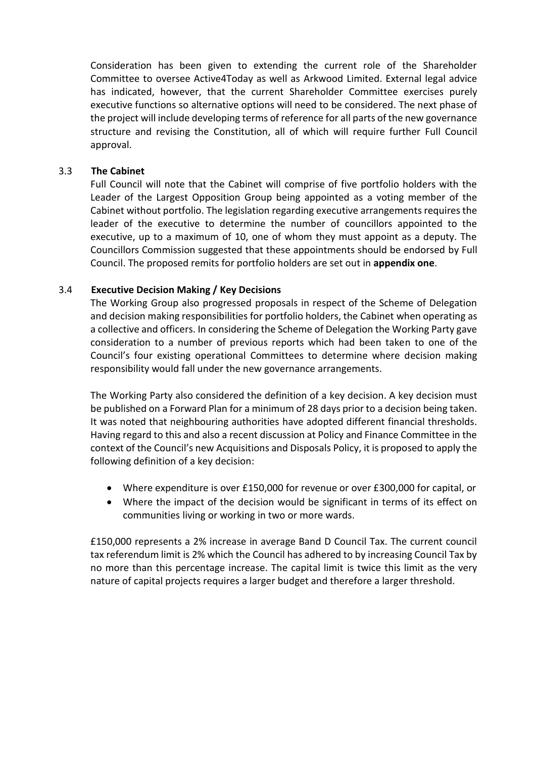Consideration has been given to extending the current role of the Shareholder Committee to oversee Active4Today as well as Arkwood Limited. External legal advice has indicated, however, that the current Shareholder Committee exercises purely executive functions so alternative options will need to be considered. The next phase of the project will include developing terms of reference for all parts of the new governance structure and revising the Constitution, all of which will require further Full Council approval.

# 3.3 **The Cabinet**

Full Council will note that the Cabinet will comprise of five portfolio holders with the Leader of the Largest Opposition Group being appointed as a voting member of the Cabinet without portfolio. The legislation regarding executive arrangements requires the leader of the executive to determine the number of councillors appointed to the executive, up to a maximum of 10, one of whom they must appoint as a deputy. The Councillors Commission suggested that these appointments should be endorsed by Full Council. The proposed remits for portfolio holders are set out in **appendix one**.

# 3.4 **Executive Decision Making / Key Decisions**

The Working Group also progressed proposals in respect of the Scheme of Delegation and decision making responsibilities for portfolio holders, the Cabinet when operating as a collective and officers. In considering the Scheme of Delegation the Working Party gave consideration to a number of previous reports which had been taken to one of the Council's four existing operational Committees to determine where decision making responsibility would fall under the new governance arrangements.

The Working Party also considered the definition of a key decision. A key decision must be published on a Forward Plan for a minimum of 28 days prior to a decision being taken. It was noted that neighbouring authorities have adopted different financial thresholds. Having regard to this and also a recent discussion at Policy and Finance Committee in the context of the Council's new Acquisitions and Disposals Policy, it is proposed to apply the following definition of a key decision:

- Where expenditure is over £150,000 for revenue or over £300,000 for capital, or
- Where the impact of the decision would be significant in terms of its effect on communities living or working in two or more wards.

£150,000 represents a 2% increase in average Band D Council Tax. The current council tax referendum limit is 2% which the Council has adhered to by increasing Council Tax by no more than this percentage increase. The capital limit is twice this limit as the very nature of capital projects requires a larger budget and therefore a larger threshold.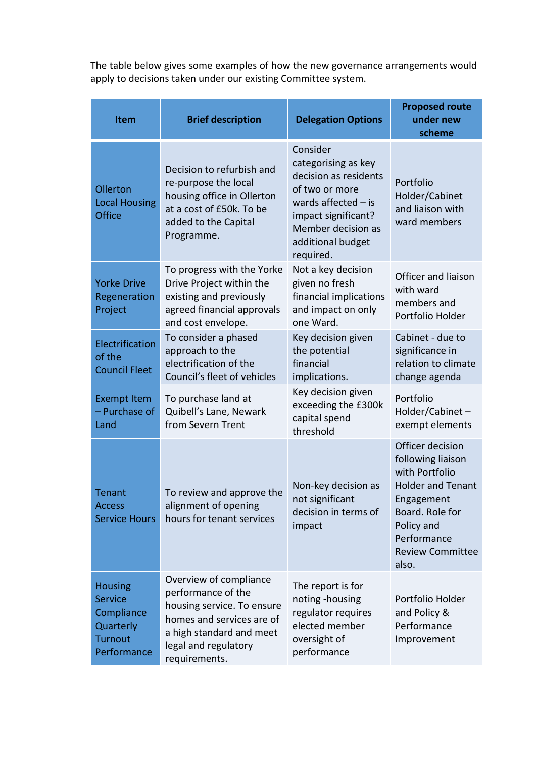The table below gives some examples of how the new governance arrangements would apply to decisions taken under our existing Committee system.

| Item                                                                                         | <b>Brief description</b>                                                                                                                                                                                                                   | <b>Delegation Options</b>                                                                                                                                                          | <b>Proposed route</b><br>under new<br>scheme                                                                                                                                          |
|----------------------------------------------------------------------------------------------|--------------------------------------------------------------------------------------------------------------------------------------------------------------------------------------------------------------------------------------------|------------------------------------------------------------------------------------------------------------------------------------------------------------------------------------|---------------------------------------------------------------------------------------------------------------------------------------------------------------------------------------|
| Ollerton<br><b>Local Housing</b><br><b>Office</b>                                            | Decision to refurbish and<br>re-purpose the local<br>housing office in Ollerton<br>at a cost of £50k. To be<br>added to the Capital<br>Programme.                                                                                          | Consider<br>categorising as key<br>decision as residents<br>of two or more<br>wards affected $-$ is<br>impact significant?<br>Member decision as<br>additional budget<br>required. | Portfolio<br>Holder/Cabinet<br>and liaison with<br>ward members                                                                                                                       |
| <b>Yorke Drive</b><br>Regeneration<br>Project                                                | Not a key decision<br>To progress with the Yorke<br>given no fresh<br>Drive Project within the<br>existing and previously<br>financial implications<br>and impact on only<br>agreed financial approvals<br>one Ward.<br>and cost envelope. |                                                                                                                                                                                    | Officer and liaison<br>with ward<br>members and<br>Portfolio Holder                                                                                                                   |
| Electrification<br>of the<br><b>Council Fleet</b>                                            | To consider a phased<br>approach to the<br>electrification of the<br>Council's fleet of vehicles                                                                                                                                           | Key decision given<br>the potential<br>financial<br>implications.                                                                                                                  | Cabinet - due to<br>significance in<br>relation to climate<br>change agenda                                                                                                           |
| <b>Exempt Item</b><br>- Purchase of<br>Land                                                  | To purchase land at<br>Quibell's Lane, Newark<br>from Severn Trent                                                                                                                                                                         | Key decision given<br>exceeding the £300k<br>capital spend<br>threshold                                                                                                            | Portfolio<br>Holder/Cabinet-<br>exempt elements                                                                                                                                       |
| <b>Tenant</b><br>Access<br><b>Service Hours</b>                                              | To review and approve the<br>alignment of opening<br>hours for tenant services                                                                                                                                                             | Non-key decision as<br>not significant<br>decision in terms of<br>impact                                                                                                           | Officer decision<br>following liaison<br>with Portfolio<br><b>Holder and Tenant</b><br>Engagement<br>Board. Role for<br>Policy and<br>Performance<br><b>Review Committee</b><br>also. |
| <b>Housing</b><br><b>Service</b><br>Compliance<br>Quarterly<br><b>Turnout</b><br>Performance | Overview of compliance<br>performance of the<br>housing service. To ensure<br>homes and services are of<br>a high standard and meet<br>legal and regulatory<br>requirements.                                                               | The report is for<br>noting -housing<br>regulator requires<br>elected member<br>oversight of<br>performance                                                                        | Portfolio Holder<br>and Policy &<br>Performance<br>Improvement                                                                                                                        |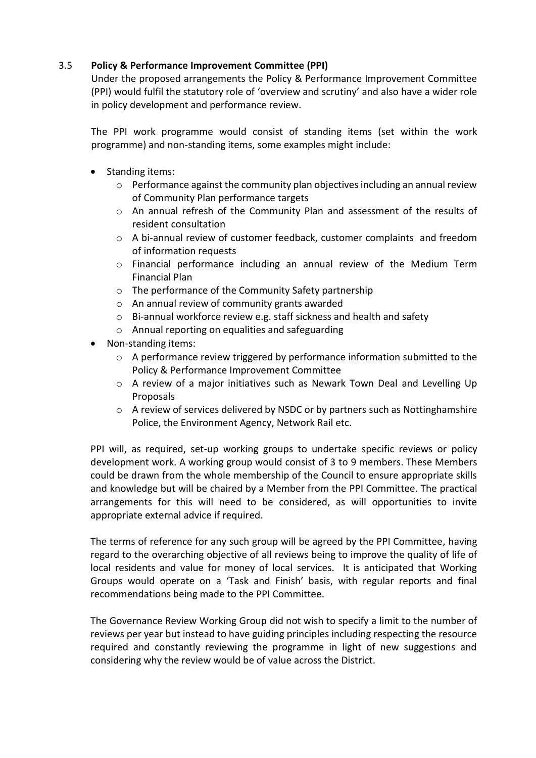# 3.5 **Policy & Performance Improvement Committee (PPI)**

Under the proposed arrangements the Policy & Performance Improvement Committee (PPI) would fulfil the statutory role of 'overview and scrutiny' and also have a wider role in policy development and performance review.

The PPI work programme would consist of standing items (set within the work programme) and non-standing items, some examples might include:

- Standing items:
	- o Performance against the community plan objectives including an annual review of Community Plan performance targets
	- o An annual refresh of the Community Plan and assessment of the results of resident consultation
	- o A bi-annual review of customer feedback, customer complaints and freedom of information requests
	- o Financial performance including an annual review of the Medium Term Financial Plan
	- o The performance of the Community Safety partnership
	- o An annual review of community grants awarded
	- o Bi-annual workforce review e.g. staff sickness and health and safety
	- o Annual reporting on equalities and safeguarding
- Non-standing items:
	- $\circ$  A performance review triggered by performance information submitted to the Policy & Performance Improvement Committee
	- o A review of a major initiatives such as Newark Town Deal and Levelling Up Proposals
	- o A review of services delivered by NSDC or by partners such as Nottinghamshire Police, the Environment Agency, Network Rail etc.

PPI will, as required, set-up working groups to undertake specific reviews or policy development work. A working group would consist of 3 to 9 members. These Members could be drawn from the whole membership of the Council to ensure appropriate skills and knowledge but will be chaired by a Member from the PPI Committee. The practical arrangements for this will need to be considered, as will opportunities to invite appropriate external advice if required.

The terms of reference for any such group will be agreed by the PPI Committee, having regard to the overarching objective of all reviews being to improve the quality of life of local residents and value for money of local services. It is anticipated that Working Groups would operate on a 'Task and Finish' basis, with regular reports and final recommendations being made to the PPI Committee.

The Governance Review Working Group did not wish to specify a limit to the number of reviews per year but instead to have guiding principles including respecting the resource required and constantly reviewing the programme in light of new suggestions and considering why the review would be of value across the District.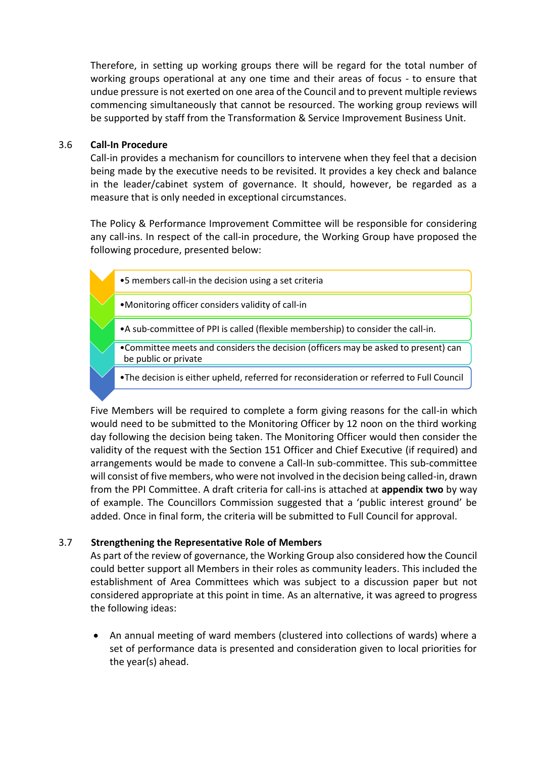Therefore, in setting up working groups there will be regard for the total number of working groups operational at any one time and their areas of focus - to ensure that undue pressure is not exerted on one area of the Council and to prevent multiple reviews commencing simultaneously that cannot be resourced. The working group reviews will be supported by staff from the Transformation & Service Improvement Business Unit.

#### 3.6 **Call-In Procedure**

Call-in provides a mechanism for councillors to intervene when they feel that a decision being made by the executive needs to be revisited. It provides a key check and balance in the leader/cabinet system of governance. It should, however, be regarded as a measure that is only needed in exceptional circumstances.

The Policy & Performance Improvement Committee will be responsible for considering any call-ins. In respect of the call-in procedure, the Working Group have proposed the following procedure, presented below:



Five Members will be required to complete a form giving reasons for the call-in which would need to be submitted to the Monitoring Officer by 12 noon on the third working day following the decision being taken. The Monitoring Officer would then consider the validity of the request with the Section 151 Officer and Chief Executive (if required) and arrangements would be made to convene a Call-In sub-committee. This sub-committee will consist of five members, who were not involved in the decision being called-in, drawn from the PPI Committee. A draft criteria for call-ins is attached at **appendix two** by way of example. The Councillors Commission suggested that a 'public interest ground' be added. Once in final form, the criteria will be submitted to Full Council for approval.

# 3.7 **Strengthening the Representative Role of Members**

As part of the review of governance, the Working Group also considered how the Council could better support all Members in their roles as community leaders. This included the establishment of Area Committees which was subject to a discussion paper but not considered appropriate at this point in time. As an alternative, it was agreed to progress the following ideas:

 An annual meeting of ward members (clustered into collections of wards) where a set of performance data is presented and consideration given to local priorities for the year(s) ahead.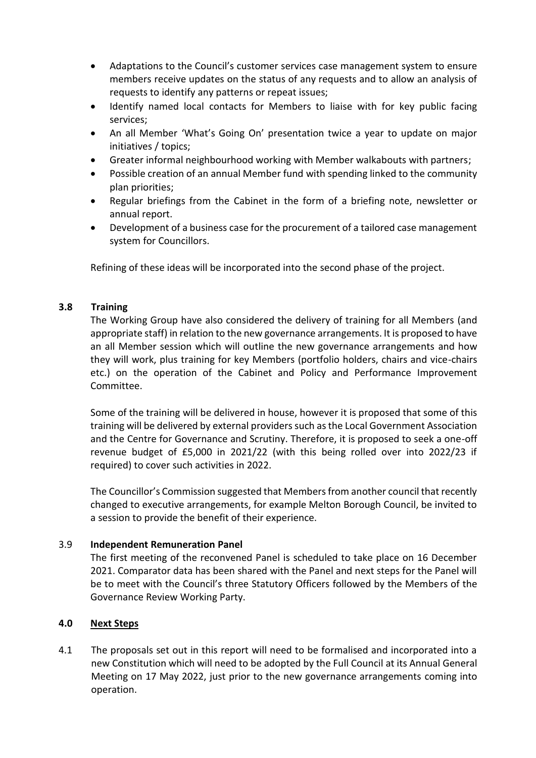- Adaptations to the Council's customer services case management system to ensure members receive updates on the status of any requests and to allow an analysis of requests to identify any patterns or repeat issues;
- Identify named local contacts for Members to liaise with for key public facing services;
- An all Member 'What's Going On' presentation twice a year to update on major initiatives / topics;
- Greater informal neighbourhood working with Member walkabouts with partners;
- Possible creation of an annual Member fund with spending linked to the community plan priorities;
- Regular briefings from the Cabinet in the form of a briefing note, newsletter or annual report.
- Development of a business case for the procurement of a tailored case management system for Councillors.

Refining of these ideas will be incorporated into the second phase of the project.

# **3.8 Training**

The Working Group have also considered the delivery of training for all Members (and appropriate staff) in relation to the new governance arrangements. It is proposed to have an all Member session which will outline the new governance arrangements and how they will work, plus training for key Members (portfolio holders, chairs and vice-chairs etc.) on the operation of the Cabinet and Policy and Performance Improvement Committee.

Some of the training will be delivered in house, however it is proposed that some of this training will be delivered by external providerssuch as the Local Government Association and the Centre for Governance and Scrutiny. Therefore, it is proposed to seek a one-off revenue budget of £5,000 in 2021/22 (with this being rolled over into 2022/23 if required) to cover such activities in 2022.

The Councillor's Commission suggested that Members from another council that recently changed to executive arrangements, for example Melton Borough Council, be invited to a session to provide the benefit of their experience.

#### 3.9 **Independent Remuneration Panel**

The first meeting of the reconvened Panel is scheduled to take place on 16 December 2021. Comparator data has been shared with the Panel and next steps for the Panel will be to meet with the Council's three Statutory Officers followed by the Members of the Governance Review Working Party.

#### **4.0 Next Steps**

4.1 The proposals set out in this report will need to be formalised and incorporated into a new Constitution which will need to be adopted by the Full Council at its Annual General Meeting on 17 May 2022, just prior to the new governance arrangements coming into operation.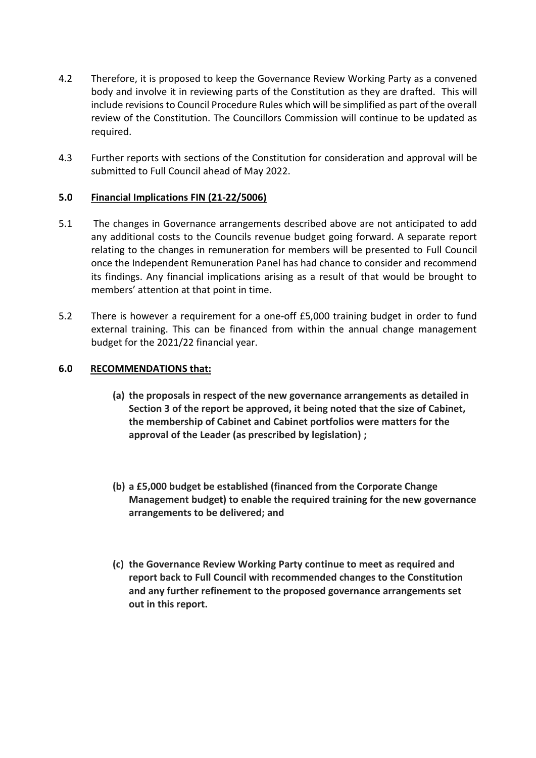- 4.2 Therefore, it is proposed to keep the Governance Review Working Party as a convened body and involve it in reviewing parts of the Constitution as they are drafted. This will include revisions to Council Procedure Rules which will be simplified as part of the overall review of the Constitution. The Councillors Commission will continue to be updated as required.
- 4.3 Further reports with sections of the Constitution for consideration and approval will be submitted to Full Council ahead of May 2022.

# **5.0 Financial Implications FIN (21-22/5006)**

- 5.1 The changes in Governance arrangements described above are not anticipated to add any additional costs to the Councils revenue budget going forward. A separate report relating to the changes in remuneration for members will be presented to Full Council once the Independent Remuneration Panel has had chance to consider and recommend its findings. Any financial implications arising as a result of that would be brought to members' attention at that point in time.
- 5.2 There is however a requirement for a one-off £5,000 training budget in order to fund external training. This can be financed from within the annual change management budget for the 2021/22 financial year.

# **6.0 RECOMMENDATIONS that:**

- **(a) the proposals in respect of the new governance arrangements as detailed in Section 3 of the report be approved, it being noted that the size of Cabinet, the membership of Cabinet and Cabinet portfolios were matters for the approval of the Leader (as prescribed by legislation) ;**
- **(b) a £5,000 budget be established (financed from the Corporate Change Management budget) to enable the required training for the new governance arrangements to be delivered; and**
- **(c) the Governance Review Working Party continue to meet as required and report back to Full Council with recommended changes to the Constitution and any further refinement to the proposed governance arrangements set out in this report.**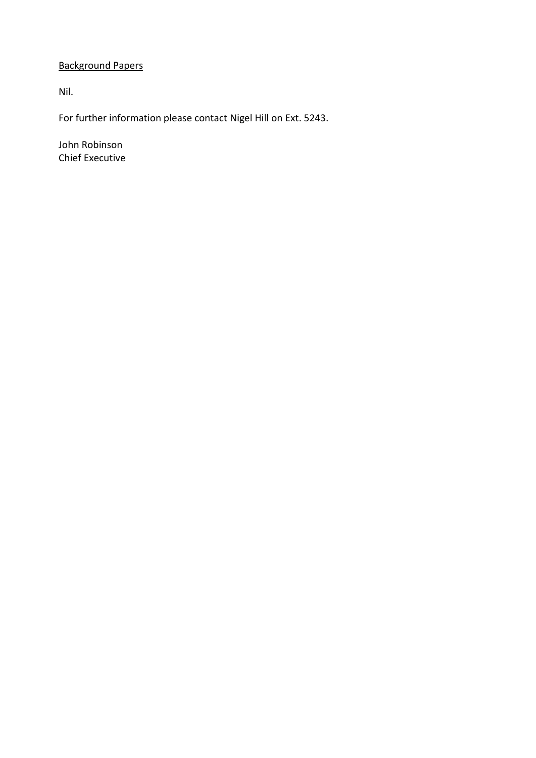# Background Papers

Nil.

For further information please contact Nigel Hill on Ext. 5243.

John Robinson Chief Executive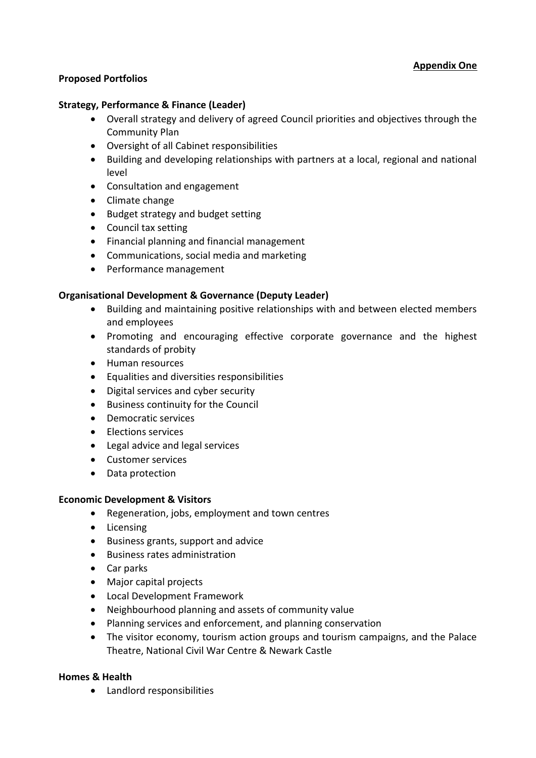# **Proposed Portfolios**

## **Strategy, Performance & Finance (Leader)**

- Overall strategy and delivery of agreed Council priorities and objectives through the Community Plan
- Oversight of all Cabinet responsibilities
- Building and developing relationships with partners at a local, regional and national level
- Consultation and engagement
- Climate change
- Budget strategy and budget setting
- Council tax setting
- Financial planning and financial management
- Communications, social media and marketing
- Performance management

#### **Organisational Development & Governance (Deputy Leader)**

- Building and maintaining positive relationships with and between elected members and employees
- Promoting and encouraging effective corporate governance and the highest standards of probity
- Human resources
- Equalities and diversities responsibilities
- Digital services and cyber security
- Business continuity for the Council
- Democratic services
- Elections services
- Legal advice and legal services
- Customer services
- Data protection

#### **Economic Development & Visitors**

- Regeneration, jobs, employment and town centres
- Licensing
- Business grants, support and advice
- Business rates administration
- Car parks
- Major capital projects
- Local Development Framework
- Neighbourhood planning and assets of community value
- Planning services and enforcement, and planning conservation
- The visitor economy, tourism action groups and tourism campaigns, and the Palace Theatre, National Civil War Centre & Newark Castle

#### **Homes & Health**

Landlord responsibilities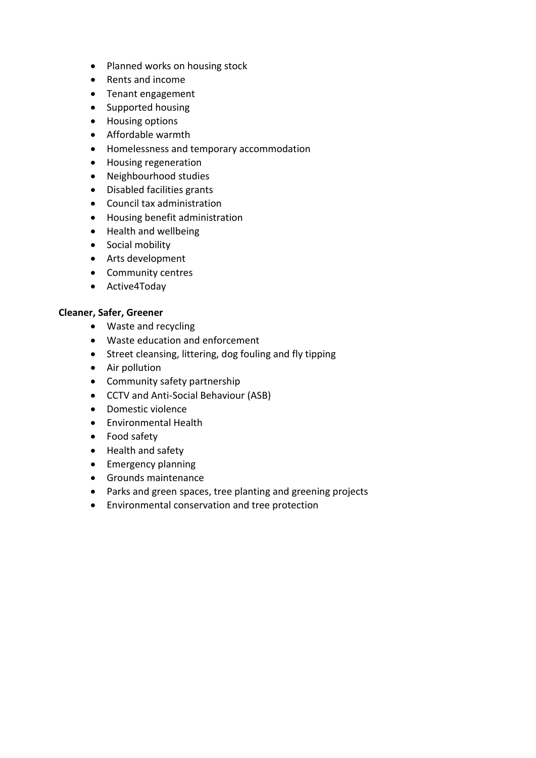- Planned works on housing stock
- Rents and income
- Tenant engagement
- Supported housing
- Housing options
- Affordable warmth
- Homelessness and temporary accommodation
- Housing regeneration
- Neighbourhood studies
- Disabled facilities grants
- Council tax administration
- Housing benefit administration
- Health and wellbeing
- Social mobility
- Arts development
- Community centres
- Active4Today

# **Cleaner, Safer, Greener**

- Waste and recycling
- Waste education and enforcement
- Street cleansing, littering, dog fouling and fly tipping
- Air pollution
- Community safety partnership
- CCTV and Anti-Social Behaviour (ASB)
- Domestic violence
- Environmental Health
- Food safety
- Health and safety
- Emergency planning
- Grounds maintenance
- Parks and green spaces, tree planting and greening projects
- Environmental conservation and tree protection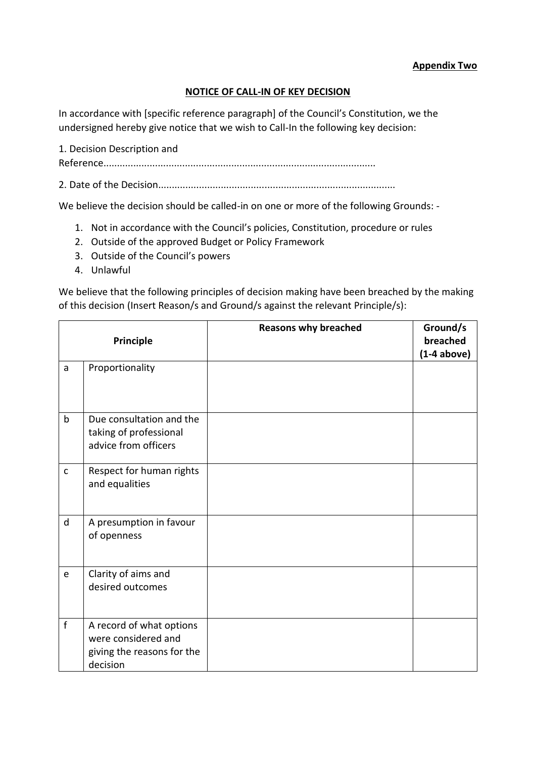## **Appendix Two**

# **NOTICE OF CALL-IN OF KEY DECISION**

In accordance with [specific reference paragraph] of the Council's Constitution, we the undersigned hereby give notice that we wish to Call-In the following key decision:

1. Decision Description and Reference....................................................................................................

2. Date of the Decision.......................................................................................

We believe the decision should be called-in on one or more of the following Grounds: -

- 1. Not in accordance with the Council's policies, Constitution, procedure or rules
- 2. Outside of the approved Budget or Policy Framework
- 3. Outside of the Council's powers
- 4. Unlawful

We believe that the following principles of decision making have been breached by the making of this decision (Insert Reason/s and Ground/s against the relevant Principle/s):

|              | Principle                                                                                 | <b>Reasons why breached</b> | Ground/s<br>breached<br>$(1-4 above)$ |
|--------------|-------------------------------------------------------------------------------------------|-----------------------------|---------------------------------------|
| a            | Proportionality                                                                           |                             |                                       |
| $\mathsf b$  | Due consultation and the<br>taking of professional<br>advice from officers                |                             |                                       |
| $\mathsf{C}$ | Respect for human rights<br>and equalities                                                |                             |                                       |
| d            | A presumption in favour<br>of openness                                                    |                             |                                       |
| e            | Clarity of aims and<br>desired outcomes                                                   |                             |                                       |
| $\mathbf{f}$ | A record of what options<br>were considered and<br>giving the reasons for the<br>decision |                             |                                       |